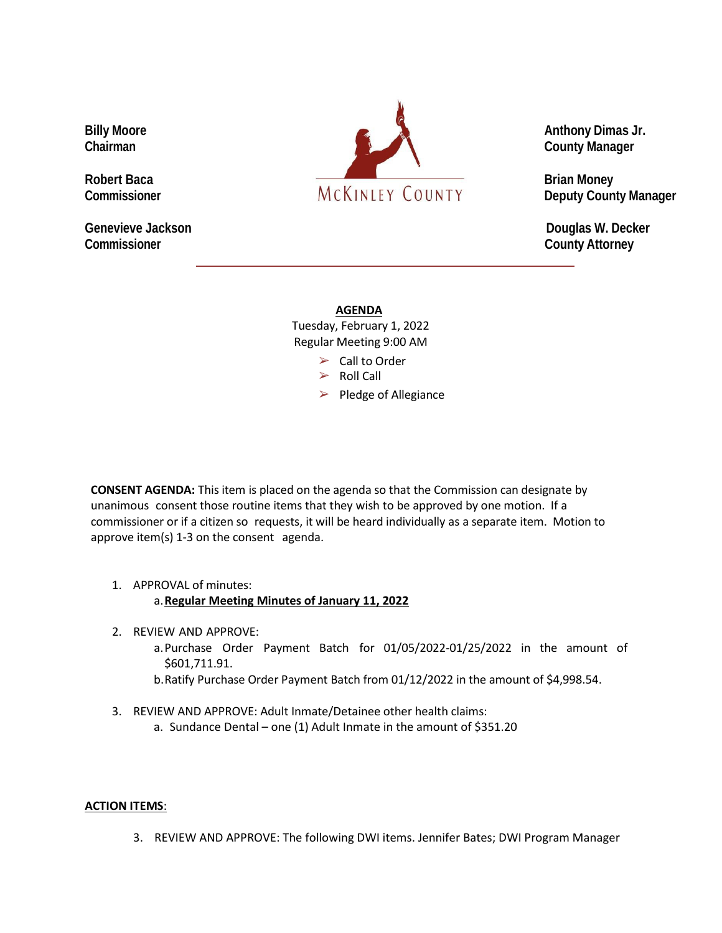**Genevieve Jackson Douglas W. Decker Commissioner County Attorney**



## **AGENDA**

Tuesday, February 1, 2022 Regular Meeting 9:00 AM

 $\triangleright$  Call to Order

- $\triangleright$  Roll Call
- $\triangleright$  Pledge of Allegiance

**CONSENT AGENDA:** This item is placed on the agenda so that the Commission can designate by unanimous consent those routine items that they wish to be approved by one motion. If a commissioner or if a citizen so requests, it will be heard individually as a separate item. Motion to approve item(s) 1-3 on the consent agenda.

1. APPROVAL of minutes:

## a.**Regular Meeting Minutes of January 11, 2022**

- 2. REVIEW AND APPROVE:
	- a.Purchase Order Payment Batch for 01/05/2022-01/25/2022 in the amount of \$601,711.91.
	- b.Ratify Purchase Order Payment Batch from 01/12/2022 in the amount of \$4,998.54.
- 3. REVIEW AND APPROVE: Adult Inmate/Detainee other health claims:
	- a. Sundance Dental one (1) Adult Inmate in the amount of \$351.20

## **ACTION ITEMS**:

3. REVIEW AND APPROVE: The following DWI items. Jennifer Bates; DWI Program Manager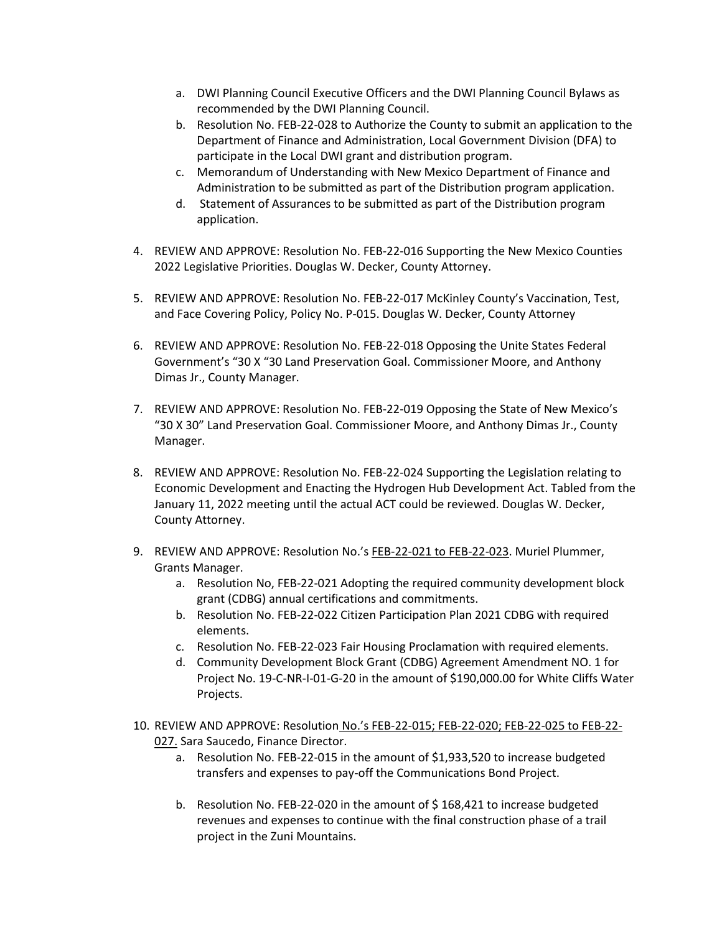- a. DWI Planning Council Executive Officers and the DWI Planning Council Bylaws as recommended by the DWI Planning Council.
- b. Resolution No. FEB-22-028 to Authorize the County to submit an application to the Department of Finance and Administration, Local Government Division (DFA) to participate in the Local DWI grant and distribution program.
- c. Memorandum of Understanding with New Mexico Department of Finance and Administration to be submitted as part of the Distribution program application.
- d. Statement of Assurances to be submitted as part of the Distribution program application.
- 4. REVIEW AND APPROVE: Resolution No. FEB-22-016 Supporting the New Mexico Counties 2022 Legislative Priorities. Douglas W. Decker, County Attorney.
- 5. REVIEW AND APPROVE: Resolution No. FEB-22-017 McKinley County's Vaccination, Test, and Face Covering Policy, Policy No. P-015. Douglas W. Decker, County Attorney
- 6. REVIEW AND APPROVE: Resolution No. FEB-22-018 Opposing the Unite States Federal Government's "30 X "30 Land Preservation Goal. Commissioner Moore, and Anthony Dimas Jr., County Manager.
- 7. REVIEW AND APPROVE: Resolution No. FEB-22-019 Opposing the State of New Mexico's "30 X 30" Land Preservation Goal. Commissioner Moore, and Anthony Dimas Jr., County Manager.
- 8. REVIEW AND APPROVE: Resolution No. FEB-22-024 Supporting the Legislation relating to Economic Development and Enacting the Hydrogen Hub Development Act. Tabled from the January 11, 2022 meeting until the actual ACT could be reviewed. Douglas W. Decker, County Attorney.
- 9. REVIEW AND APPROVE: Resolution No.'s FEB-22-021 to FEB-22-023. Muriel Plummer, Grants Manager.
	- a. Resolution No, FEB-22-021 Adopting the required community development block grant (CDBG) annual certifications and commitments.
	- b. Resolution No. FEB-22-022 Citizen Participation Plan 2021 CDBG with required elements.
	- c. Resolution No. FEB-22-023 Fair Housing Proclamation with required elements.
	- d. Community Development Block Grant (CDBG) Agreement Amendment NO. 1 for Project No. 19-C-NR-I-01-G-20 in the amount of \$190,000.00 for White Cliffs Water Projects.
- 10. REVIEW AND APPROVE: Resolution No.'s FEB-22-015; FEB-22-020; FEB-22-025 to FEB-22- 027. Sara Saucedo, Finance Director.
	- a. Resolution No. FEB-22-015 in the amount of \$1,933,520 to increase budgeted transfers and expenses to pay-off the Communications Bond Project.
	- b. Resolution No. FEB-22-020 in the amount of \$ 168,421 to increase budgeted revenues and expenses to continue with the final construction phase of a trail project in the Zuni Mountains.